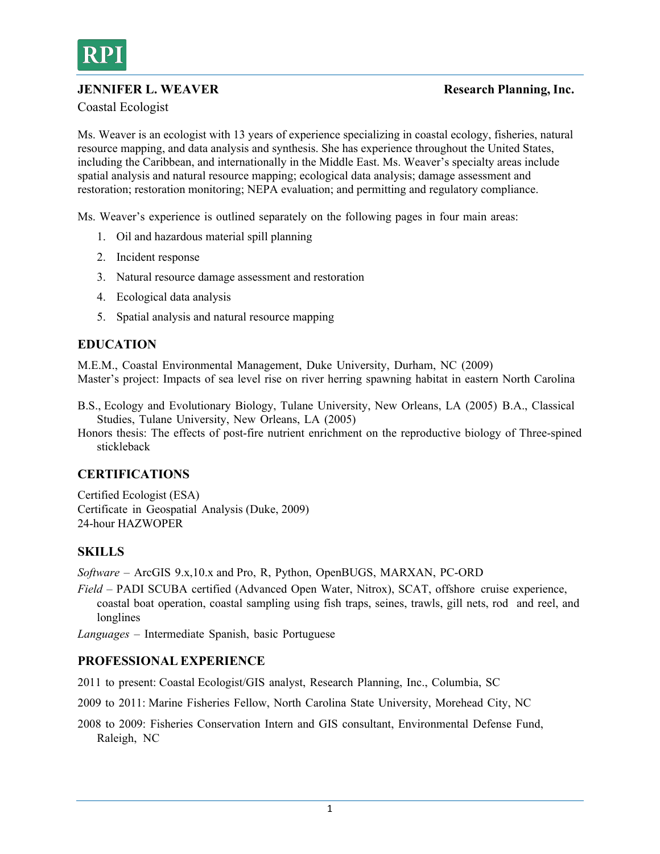

## **JENNIFER L. WEAVER** Research Planning, Inc.

Coastal Ecologist

Ms. Weaver is an ecologist with 13 years of experience specializing in coastal ecology, fisheries, natural resource mapping, and data analysis and synthesis. She has experience throughout the United States, including the Caribbean, and internationally in the Middle East. Ms. Weaver's specialty areas include spatial analysis and natural resource mapping; ecological data analysis; damage assessment and restoration; restoration monitoring; NEPA evaluation; and permitting and regulatory compliance.

Ms. Weaver's experience is outlined separately on the following pages in four main areas:

- 1. Oil and hazardous material spill planning
- 2. Incident response
- 3. Natural resource damage assessment and restoration
- 4. Ecological data analysis
- 5. Spatial analysis and natural resource mapping

## **EDUCATION**

M.E.M., Coastal Environmental Management, Duke University, Durham, NC (2009) Master's project: Impacts of sea level rise on river herring spawning habitat in eastern North Carolina

- B.S., Ecology and Evolutionary Biology, Tulane University, New Orleans, LA (2005) B.A., Classical Studies, Tulane University, New Orleans, LA (2005)
- Honors thesis: The effects of post-fire nutrient enrichment on the reproductive biology of Three-spined stickleback

## **CERTIFICATIONS**

Certified Ecologist (ESA) Certificate in Geospatial Analysis (Duke, 2009) 24-hour HAZWOPER

## **SKILLS**

*Software* – ArcGIS 9.x,10.x and Pro, R, Python, OpenBUGS, MARXAN, PC-ORD

*Field* – PADI SCUBA certified (Advanced Open Water, Nitrox), SCAT, offshore cruise experience, coastal boat operation, coastal sampling using fish traps, seines, trawls, gill nets, rod and reel, and longlines

*Languages* – Intermediate Spanish, basic Portuguese

## **PROFESSIONAL EXPERIENCE**

2011 to present: Coastal Ecologist/GIS analyst, Research Planning, Inc., Columbia, SC

2009 to 2011: Marine Fisheries Fellow, North Carolina State University, Morehead City, NC

2008 to 2009: Fisheries Conservation Intern and GIS consultant, Environmental Defense Fund, Raleigh, NC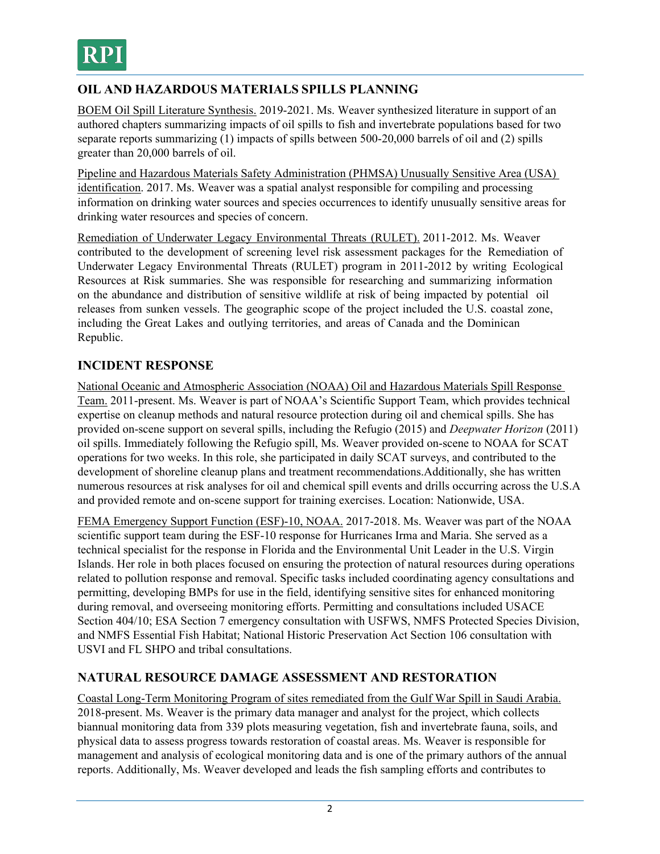# **OIL AND HAZARDOUS MATERIALS SPILLS PLANNING**

BOEM Oil Spill Literature Synthesis. 2019-2021. Ms. Weaver synthesized literature in support of an authored chapters summarizing impacts of oil spills to fish and invertebrate populations based for two separate reports summarizing (1) impacts of spills between 500-20,000 barrels of oil and (2) spills greater than 20,000 barrels of oil.

Pipeline and Hazardous Materials Safety Administration (PHMSA) Unusually Sensitive Area (USA) identification. 2017. Ms. Weaver was a spatial analyst responsible for compiling and processing information on drinking water sources and species occurrences to identify unusually sensitive areas for drinking water resources and species of concern.

Remediation of Underwater Legacy Environmental Threats (RULET). 2011-2012. Ms. Weaver contributed to the development of screening level risk assessment packages for the Remediation of Underwater Legacy Environmental Threats (RULET) program in 2011-2012 by writing Ecological Resources at Risk summaries. She was responsible for researching and summarizing information on the abundance and distribution of sensitive wildlife at risk of being impacted by potential oil releases from sunken vessels. The geographic scope of the project included the U.S. coastal zone, including the Great Lakes and outlying territories, and areas of Canada and the Dominican Republic.

# **INCIDENT RESPONSE**

National Oceanic and Atmospheric Association (NOAA) Oil and Hazardous Materials Spill Response Team. 2011-present. Ms. Weaver is part of NOAA's Scientific Support Team, which provides technical expertise on cleanup methods and natural resource protection during oil and chemical spills. She has provided on-scene support on several spills, including the Refugio (2015) and *Deepwater Horizon* (2011) oil spills. Immediately following the Refugio spill, Ms. Weaver provided on-scene to NOAA for SCAT operations for two weeks. In this role, she participated in daily SCAT surveys, and contributed to the development of shoreline cleanup plans and treatment recommendations.Additionally, she has written numerous resources at risk analyses for oil and chemical spill events and drills occurring across the U.S.A and provided remote and on-scene support for training exercises. Location: Nationwide, USA.

FEMA Emergency Support Function (ESF)-10, NOAA. 2017-2018. Ms. Weaver was part of the NOAA scientific support team during the ESF-10 response for Hurricanes Irma and Maria. She served as a technical specialist for the response in Florida and the Environmental Unit Leader in the U.S. Virgin Islands. Her role in both places focused on ensuring the protection of natural resources during operations related to pollution response and removal. Specific tasks included coordinating agency consultations and permitting, developing BMPs for use in the field, identifying sensitive sites for enhanced monitoring during removal, and overseeing monitoring efforts. Permitting and consultations included USACE Section 404/10; ESA Section 7 emergency consultation with USFWS, NMFS Protected Species Division, and NMFS Essential Fish Habitat; National Historic Preservation Act Section 106 consultation with USVI and FL SHPO and tribal consultations.

## **NATURAL RESOURCE DAMAGE ASSESSMENT AND RESTORATION**

Coastal Long-Term Monitoring Program of sites remediated from the Gulf War Spill in Saudi Arabia. 2018-present. Ms. Weaver is the primary data manager and analyst for the project, which collects biannual monitoring data from 339 plots measuring vegetation, fish and invertebrate fauna, soils, and physical data to assess progress towards restoration of coastal areas. Ms. Weaver is responsible for management and analysis of ecological monitoring data and is one of the primary authors of the annual reports. Additionally, Ms. Weaver developed and leads the fish sampling efforts and contributes to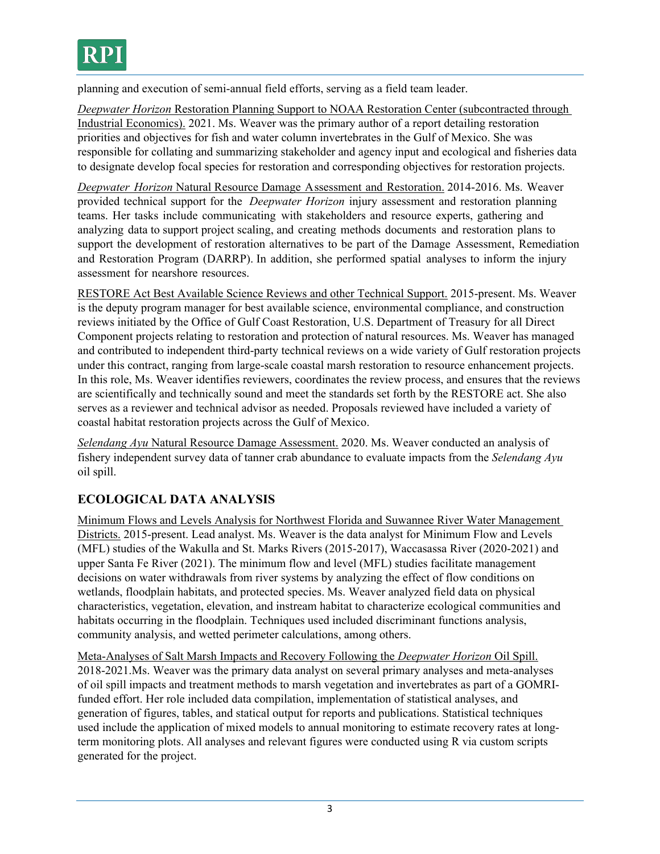planning and execution of semi-annual field efforts, serving as a field team leader.

*Deepwater Horizon* Restoration Planning Support to NOAA Restoration Center (subcontracted through Industrial Economics). 2021. Ms. Weaver was the primary author of a report detailing restoration priorities and objectives for fish and water column invertebrates in the Gulf of Mexico. She was responsible for collating and summarizing stakeholder and agency input and ecological and fisheries data to designate develop focal species for restoration and corresponding objectives for restoration projects.

*Deepwater Horizon* Natural Resource Damage Assessment and Restoration. 2014-2016. Ms. Weaver provided technical support for the *Deepwater Horizon* injury assessment and restoration planning teams. Her tasks include communicating with stakeholders and resource experts, gathering and analyzing data to support project scaling, and creating methods documents and restoration plans to support the development of restoration alternatives to be part of the Damage Assessment, Remediation and Restoration Program (DARRP). In addition, she performed spatial analyses to inform the injury assessment for nearshore resources.

RESTORE Act Best Available Science Reviews and other Technical Support. 2015-present. Ms. Weaver is the deputy program manager for best available science, environmental compliance, and construction reviews initiated by the Office of Gulf Coast Restoration, U.S. Department of Treasury for all Direct Component projects relating to restoration and protection of natural resources. Ms. Weaver has managed and contributed to independent third-party technical reviews on a wide variety of Gulf restoration projects under this contract, ranging from large-scale coastal marsh restoration to resource enhancement projects. In this role, Ms. Weaver identifies reviewers, coordinates the review process, and ensures that the reviews are scientifically and technically sound and meet the standards set forth by the RESTORE act. She also serves as a reviewer and technical advisor as needed. Proposals reviewed have included a variety of coastal habitat restoration projects across the Gulf of Mexico.

*Selendang Ayu* Natural Resource Damage Assessment. 2020. Ms. Weaver conducted an analysis of fishery independent survey data of tanner crab abundance to evaluate impacts from the *Selendang Ayu*  oil spill.

# **ECOLOGICAL DATA ANALYSIS**

Minimum Flows and Levels Analysis for Northwest Florida and Suwannee River Water Management Districts. 2015-present. Lead analyst. Ms. Weaver is the data analyst for Minimum Flow and Levels (MFL) studies of the Wakulla and St. Marks Rivers (2015-2017), Waccasassa River (2020-2021) and upper Santa Fe River (2021). The minimum flow and level (MFL) studies facilitate management decisions on water withdrawals from river systems by analyzing the effect of flow conditions on wetlands, floodplain habitats, and protected species. Ms. Weaver analyzed field data on physical characteristics, vegetation, elevation, and instream habitat to characterize ecological communities and habitats occurring in the floodplain. Techniques used included discriminant functions analysis, community analysis, and wetted perimeter calculations, among others.

Meta-Analyses of Salt Marsh Impacts and Recovery Following the *Deepwater Horizon* Oil Spill. 2018-2021.Ms. Weaver was the primary data analyst on several primary analyses and meta-analyses of oil spill impacts and treatment methods to marsh vegetation and invertebrates as part of a GOMRIfunded effort. Her role included data compilation, implementation of statistical analyses, and generation of figures, tables, and statical output for reports and publications. Statistical techniques used include the application of mixed models to annual monitoring to estimate recovery rates at longterm monitoring plots. All analyses and relevant figures were conducted using R via custom scripts generated for the project.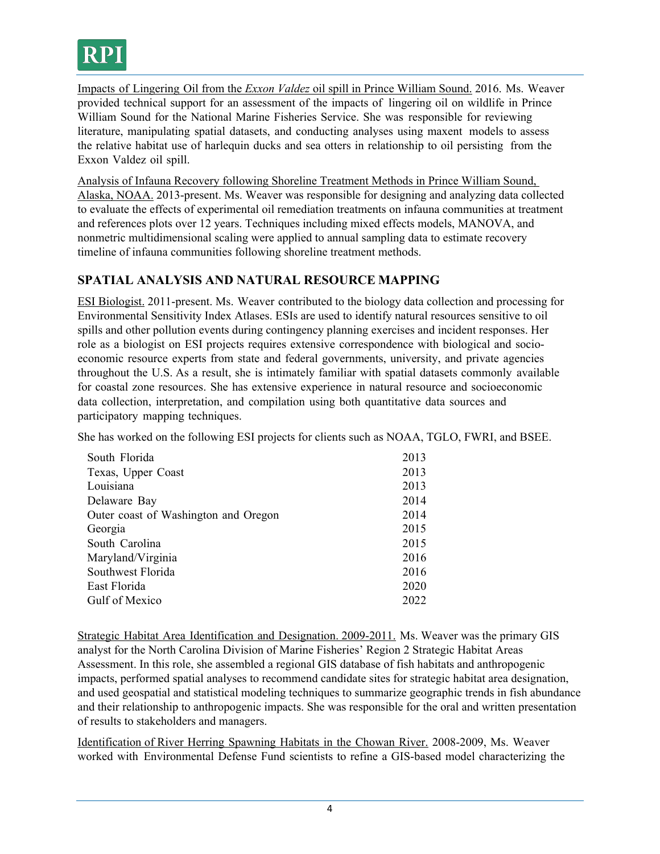

Impacts of Lingering Oil from the *Exxon Valdez* oil spill in Prince William Sound. 2016. Ms. Weaver provided technical support for an assessment of the impacts of lingering oil on wildlife in Prince William Sound for the National Marine Fisheries Service. She was responsible for reviewing literature, manipulating spatial datasets, and conducting analyses using maxent models to assess the relative habitat use of harlequin ducks and sea otters in relationship to oil persisting from the Exxon Valdez oil spill.

Analysis of Infauna Recovery following Shoreline Treatment Methods in Prince William Sound, Alaska, NOAA. 2013-present. Ms. Weaver was responsible for designing and analyzing data collected to evaluate the effects of experimental oil remediation treatments on infauna communities at treatment and references plots over 12 years. Techniques including mixed effects models, MANOVA, and nonmetric multidimensional scaling were applied to annual sampling data to estimate recovery timeline of infauna communities following shoreline treatment methods.

## **SPATIAL ANALYSIS AND NATURAL RESOURCE MAPPING**

ESI Biologist. 2011-present. Ms. Weaver contributed to the biology data collection and processing for Environmental Sensitivity Index Atlases. ESIs are used to identify natural resources sensitive to oil spills and other pollution events during contingency planning exercises and incident responses. Her role as a biologist on ESI projects requires extensive correspondence with biological and socioeconomic resource experts from state and federal governments, university, and private agencies throughout the U.S. As a result, she is intimately familiar with spatial datasets commonly available for coastal zone resources. She has extensive experience in natural resource and socioeconomic data collection, interpretation, and compilation using both quantitative data sources and participatory mapping techniques.

She has worked on the following ESI projects for clients such as NOAA, TGLO, FWRI, and BSEE.

| South Florida                        | 2013 |
|--------------------------------------|------|
| Texas, Upper Coast                   | 2013 |
| Louisiana                            | 2013 |
| Delaware Bay                         | 2014 |
| Outer coast of Washington and Oregon | 2014 |
| Georgia                              | 2015 |
| South Carolina                       | 2015 |
| Maryland/Virginia                    | 2016 |
| Southwest Florida                    | 2016 |
| East Florida                         | 2020 |
| Gulf of Mexico                       | 2022 |

Strategic Habitat Area Identification and Designation. 2009-2011. Ms. Weaver was the primary GIS analyst for the North Carolina Division of Marine Fisheries' Region 2 Strategic Habitat Areas Assessment. In this role, she assembled a regional GIS database of fish habitats and anthropogenic impacts, performed spatial analyses to recommend candidate sites for strategic habitat area designation, and used geospatial and statistical modeling techniques to summarize geographic trends in fish abundance and their relationship to anthropogenic impacts. She was responsible for the oral and written presentation of results to stakeholders and managers.

Identification of River Herring Spawning Habitats in the Chowan River. 2008-2009, Ms. Weaver worked with Environmental Defense Fund scientists to refine a GIS-based model characterizing the